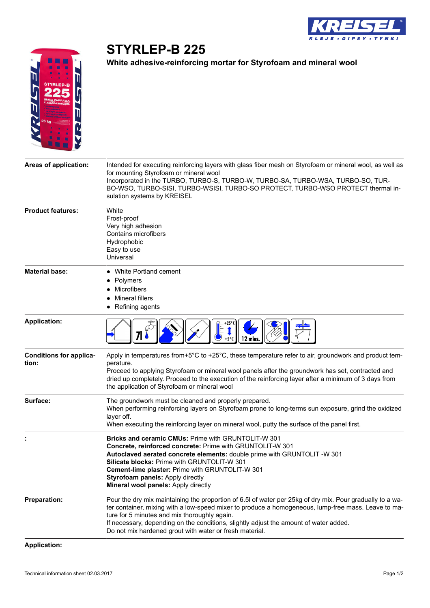

## **STYRLEP-B 225**

**White adhesive-reinforcing mortar for Styrofoam and mineral wool**



| Areas of application:                   | Intended for executing reinforcing layers with glass fiber mesh on Styrofoam or mineral wool, as well as<br>for mounting Styrofoam or mineral wool<br>Incorporated in the TURBO, TURBO-S, TURBO-W, TURBO-SA, TURBO-WSA, TURBO-SO, TUR-<br>BO-WSO, TURBO-SISI, TURBO-WSISI, TURBO-SO PROTECT, TURBO-WSO PROTECT thermal in-<br>sulation systems by KREISEL                                                            |
|-----------------------------------------|----------------------------------------------------------------------------------------------------------------------------------------------------------------------------------------------------------------------------------------------------------------------------------------------------------------------------------------------------------------------------------------------------------------------|
| <b>Product features:</b>                | White<br>Frost-proof<br>Very high adhesion<br>Contains microfibers<br>Hydrophobic<br>Easy to use<br>Universal                                                                                                                                                                                                                                                                                                        |
| <b>Material base:</b>                   | White Portland cement<br>Polymers<br>Microfibers<br><b>Mineral fillers</b><br>Refining agents                                                                                                                                                                                                                                                                                                                        |
| <b>Application:</b>                     | 12 mies.                                                                                                                                                                                                                                                                                                                                                                                                             |
| <b>Conditions for applica-</b><br>tion: | Apply in temperatures from+5°C to +25°C, these temperature refer to air, groundwork and product tem-<br>perature.<br>Proceed to applying Styrofoam or mineral wool panels after the groundwork has set, contracted and<br>dried up completely. Proceed to the execution of the reinforcing layer after a minimum of 3 days from<br>the application of Styrofoam or mineral wool                                      |
| Surface:                                | The groundwork must be cleaned and properly prepared.<br>When performing reinforcing layers on Styrofoam prone to long-terms sun exposure, grind the oxidized<br>layer off.<br>When executing the reinforcing layer on mineral wool, putty the surface of the panel first.                                                                                                                                           |
|                                         | <b>Bricks and ceramic CMUs: Prime with GRUNTOLIT-W 301</b><br>Concrete, reinforced concrete: Prime with GRUNTOLIT-W 301<br>Autoclaved aerated concrete elements: double prime with GRUNTOLIT -W 301<br>Silicate blocks: Prime with GRUNTOLIT-W 301<br>Cement-lime plaster: Prime with GRUNTOLIT-W 301<br><b>Styrofoam panels: Apply directly</b><br>Mineral wool panels: Apply directly                              |
| <b>Preparation:</b>                     | Pour the dry mix maintaining the proportion of 6.5I of water per 25kg of dry mix. Pour gradually to a wa-<br>ter container, mixing with a low-speed mixer to produce a homogeneous, lump-free mass. Leave to ma-<br>ture for 5 minutes and mix thoroughly again.<br>If necessary, depending on the conditions, slightly adjust the amount of water added.<br>Do not mix hardened grout with water or fresh material. |
| <b>Application:</b>                     |                                                                                                                                                                                                                                                                                                                                                                                                                      |